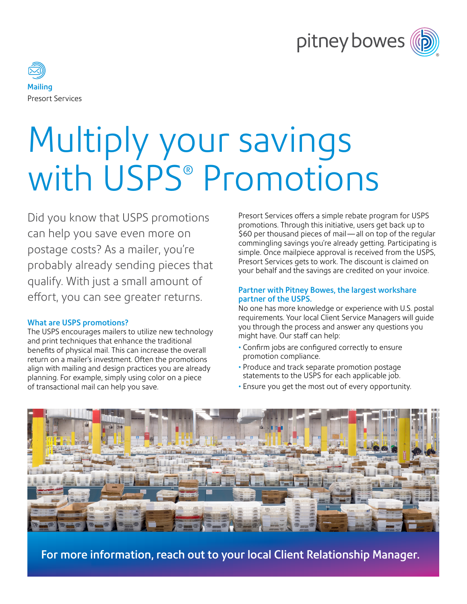



# Multiply your savings with USPS® Promotions

Did you know that USPS promotions can help you save even more on postage costs? As a mailer, you're probably already sending pieces that qualify. With just a small amount of effort, you can see greater returns.

#### What are USPS promotions?

The USPS encourages mailers to utilize new technology and print techniques that enhance the traditional benefits of physical mail. This can increase the overall return on a mailer's investment. Often the promotions align with mailing and design practices you are already planning. For example, simply using color on a piece of transactional mail can help you save.

Presort Services offers a simple rebate program for USPS promotions. Through this initiative, users get back up to \$60 per thousand pieces of mail—all on top of the regular commingling savings you're already getting. Participating is simple. Once mailpiece approval is received from the USPS, Presort Services gets to work. The discount is claimed on your behalf and the savings are credited on your invoice.

#### Partner with Pitney Bowes, the largest workshare partner of the USPS.

No one has more knowledge or experience with U.S. postal requirements. Your local Client Service Managers will guide you through the process and answer any questions you might have. Our staff can help:

- Confirm jobs are configured correctly to ensure promotion compliance.
- Produce and track separate promotion postage statements to the USPS for each applicable job.
- Ensure you get the most out of every opportunity.



For more information, reach out to your local Client Relationship Manager.